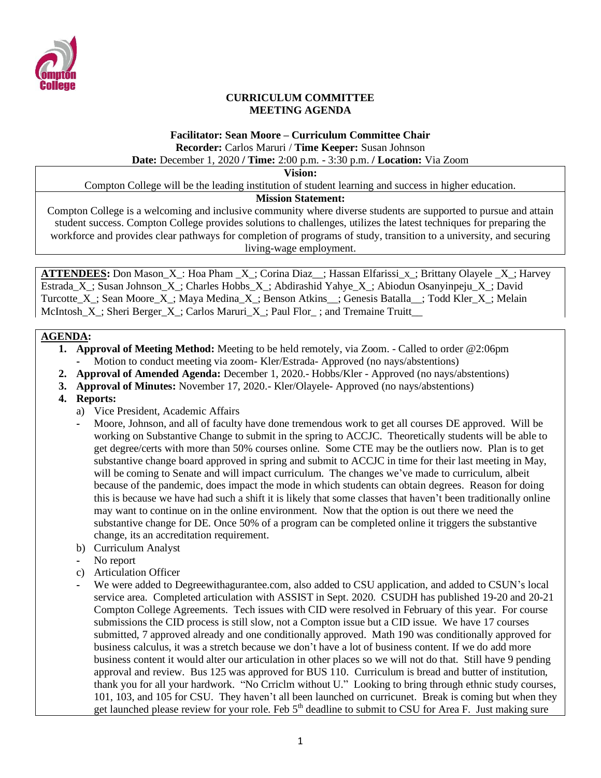

### **CURRICULUM COMMITTEE MEETING AGENDA**

# **Facilitator: Sean Moore – Curriculum Committee Chair Recorder:** Carlos Maruri / **Time Keeper:** Susan Johnson

**Date:** December 1, 2020 **/ Time:** 2:00 p.m. - 3:30 p.m. **/ Location:** Via Zoom

**Vision:**

Compton College will be the leading institution of student learning and success in higher education.

### **Mission Statement:**

Compton College is a welcoming and inclusive community where diverse students are supported to pursue and attain student success. Compton College provides solutions to challenges, utilizes the latest techniques for preparing the workforce and provides clear pathways for completion of programs of study, transition to a university, and securing living-wage employment.

**ATTENDEES:** Don Mason\_X\_: Hoa Pham \_X\_; Corina Diaz\_\_; Hassan Elfarissi\_x\_; Brittany Olayele \_X\_; Harvey Estrada\_X\_; Susan Johnson\_X\_; Charles Hobbs\_X\_; Abdirashid Yahye\_X\_; Abiodun Osanyinpeju\_X\_; David Turcotte X; Sean Moore X; Maya Medina X; Benson Atkins ; Genesis Batalla ; Todd Kler X; Melain McIntosh X; Sheri Berger X; Carlos Maruri X; Paul Flor; and Tremaine Truitt

## **AGENDA:**

- **1. Approval of Meeting Method:** Meeting to be held remotely, via Zoom. Called to order @2:06pm **-** Motion to conduct meeting via zoom- Kler/Estrada- Approved (no nays/abstentions)
- **2. Approval of Amended Agenda:** December 1, 2020.- Hobbs/Kler Approved (no nays/abstentions)
- **3. Approval of Minutes:** November 17, 2020.- Kler/Olayele- Approved (no nays/abstentions)
- **4. Reports:** 
	- a) Vice President, Academic Affairs
	- **-** Moore, Johnson, and all of faculty have done tremendous work to get all courses DE approved. Will be working on Substantive Change to submit in the spring to ACCJC. Theoretically students will be able to get degree/certs with more than 50% courses online. Some CTE may be the outliers now. Plan is to get substantive change board approved in spring and submit to ACCJC in time for their last meeting in May, will be coming to Senate and will impact curriculum. The changes we've made to curriculum, albeit because of the pandemic, does impact the mode in which students can obtain degrees. Reason for doing this is because we have had such a shift it is likely that some classes that haven't been traditionally online may want to continue on in the online environment. Now that the option is out there we need the substantive change for DE. Once 50% of a program can be completed online it triggers the substantive change, its an accreditation requirement.
	- b) Curriculum Analyst
	- **-** No report
	- c) Articulation Officer
	- **-** We were added to Degreewithagurantee.com, also added to CSU application, and added to CSUN's local service area. Completed articulation with ASSIST in Sept. 2020. CSUDH has published 19-20 and 20-21 Compton College Agreements. Tech issues with CID were resolved in February of this year. For course submissions the CID process is still slow, not a Compton issue but a CID issue. We have 17 courses submitted, 7 approved already and one conditionally approved. Math 190 was conditionally approved for business calculus, it was a stretch because we don't have a lot of business content. If we do add more business content it would alter our articulation in other places so we will not do that. Still have 9 pending approval and review. Bus 125 was approved for BUS 110. Curriculum is bread and butter of institution, thank you for all your hardwork. "No Crriclm without U." Looking to bring through ethnic study courses, 101, 103, and 105 for CSU. They haven't all been launched on curricunet. Break is coming but when they get launched please review for your role. Feb  $5<sup>th</sup>$  deadline to submit to CSU for Area F. Just making sure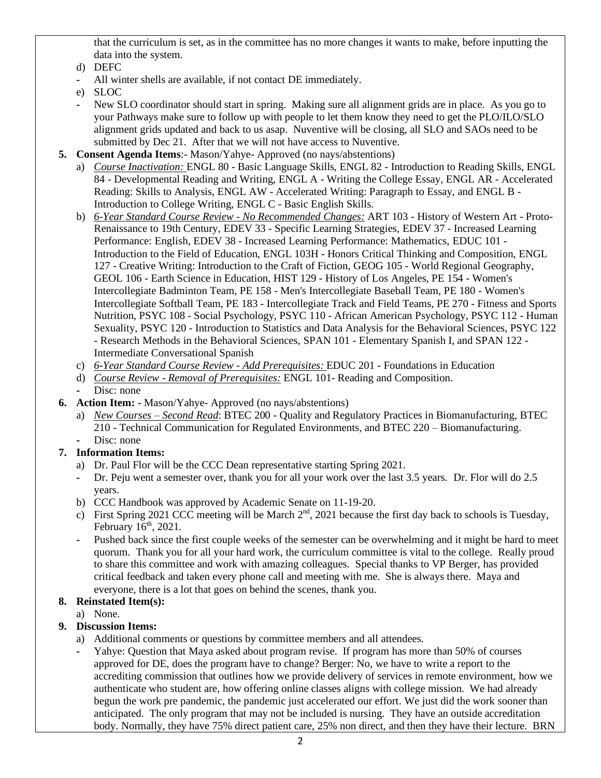that the curriculum is set, as in the committee has no more changes it wants to make, before inputting the data into the system.

- d) DEFC
- **-** All winter shells are available, if not contact DE immediately.
- e) SLOC
- **-** New SLO coordinator should start in spring. Making sure all alignment grids are in place. As you go to your Pathways make sure to follow up with people to let them know they need to get the PLO/ILO/SLO alignment grids updated and back to us asap. Nuventive will be closing, all SLO and SAOs need to be submitted by Dec 21. After that we will not have access to Nuventive.
- **5. Consent Agenda Items**:- Mason/Yahye- Approved (no nays/abstentions)
	- a) *Course Inactivation:* ENGL 80 Basic Language Skills, ENGL 82 Introduction to Reading Skills, ENGL 84 - Developmental Reading and Writing, ENGL A - Writing the College Essay, ENGL AR - Accelerated Reading: Skills to Analysis, ENGL AW - Accelerated Writing: Paragraph to Essay, and ENGL B - Introduction to College Writing, ENGL C - Basic English Skills.
	- b) *6-Year Standard Course Review - No Recommended Changes:* ART 103 History of Western Art Proto-Renaissance to 19th Century, EDEV 33 - Specific Learning Strategies, EDEV 37 - Increased Learning Performance: English, EDEV 38 - Increased Learning Performance: Mathematics, EDUC 101 - Introduction to the Field of Education, ENGL 103H - Honors Critical Thinking and Composition, ENGL 127 - Creative Writing: Introduction to the Craft of Fiction, GEOG 105 - World Regional Geography, GEOL 106 - Earth Science in Education, HIST 129 - History of Los Angeles, PE 154 - Women's Intercollegiate Badminton Team, PE 158 - Men's Intercollegiate Baseball Team, PE 180 - Women's Intercollegiate Softball Team, PE 183 - Intercollegiate Track and Field Teams, PE 270 - Fitness and Sports Nutrition, PSYC 108 - Social Psychology, PSYC 110 - African American Psychology, PSYC 112 - Human Sexuality, PSYC 120 - Introduction to Statistics and Data Analysis for the Behavioral Sciences, PSYC 122 - Research Methods in the Behavioral Sciences, SPAN 101 - Elementary Spanish I, and SPAN 122 - Intermediate Conversational Spanish
	- c) *6-Year Standard Course Review - Add Prerequisites:* EDUC 201 Foundations in Education
	- d) *Course Review - Removal of Prerequisites:* ENGL 101- Reading and Composition.
	- Disc: none
- **6. Action Item: -** Mason/Yahye- Approved (no nays/abstentions)
	- a) *New Courses – Second Read*: BTEC 200 Quality and Regulatory Practices in Biomanufacturing, BTEC 210 - Technical Communication for Regulated Environments, and BTEC 220 – Biomanufacturing. Disc: none

# **7. Information Items:**

- a) Dr. Paul Flor will be the CCC Dean representative starting Spring 2021.
- **-** Dr. Peju went a semester over, thank you for all your work over the last 3.5 years. Dr. Flor will do 2.5 years.
- b) CCC Handbook was approved by Academic Senate on 11-19-20.
- c) First Spring 2021 CCC meeting will be March  $2<sup>nd</sup>$ , 2021 because the first day back to schools is Tuesday, February  $16<sup>th</sup>$ , 2021.
- **-** Pushed back since the first couple weeks of the semester can be overwhelming and it might be hard to meet quorum. Thank you for all your hard work, the curriculum committee is vital to the college. Really proud to share this committee and work with amazing colleagues. Special thanks to VP Berger, has provided critical feedback and taken every phone call and meeting with me. She is always there. Maya and everyone, there is a lot that goes on behind the scenes, thank you.

# **8. Reinstated Item(s):**

a) None.

# **9. Discussion Items:**

- a) Additional comments or questions by committee members and all attendees.
- **-** Yahye: Question that Maya asked about program revise. If program has more than 50% of courses approved for DE, does the program have to change? Berger: No, we have to write a report to the accrediting commission that outlines how we provide delivery of services in remote environment, how we authenticate who student are, how offering online classes aligns with college mission. We had already begun the work pre pandemic, the pandemic just accelerated our effort. We just did the work sooner than anticipated. The only program that may not be included is nursing. They have an outside accreditation body. Normally, they have 75% direct patient care, 25% non direct, and then they have their lecture. BRN